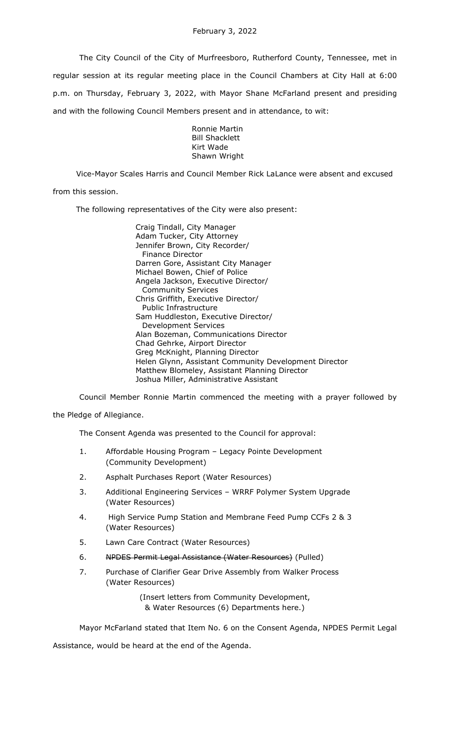The City Council of the City of Murfreesboro, Rutherford County, Tennessee, met in regular session at its regular meeting place in the Council Chambers at City Hall at 6:00 p.m. on Thursday, February 3, 2022, with Mayor Shane McFarland present and presiding and with the following Council Members present and in attendance, to wit:

> Ronnie Martin Bill Shacklett Kirt Wade Shawn Wright

Vice-Mayor Scales Harris and Council Member Rick LaLance were absent and excused from this session.

The following representatives of the City were also present:

Craig Tindall, City Manager Adam Tucker, City Attorney Jennifer Brown, City Recorder/ Finance Director Darren Gore, Assistant City Manager Michael Bowen, Chief of Police Angela Jackson, Executive Director/ Community Services Chris Griffith, Executive Director/ Public Infrastructure Sam Huddleston, Executive Director/ Development Services Alan Bozeman, Communications Director Chad Gehrke, Airport Director Greg McKnight, Planning Director Helen Glynn, Assistant Community Development Director Matthew Blomeley, Assistant Planning Director Joshua Miller, Administrative Assistant

Council Member Ronnie Martin commenced the meeting with a prayer followed by

the Pledge of Allegiance.

The Consent Agenda was presented to the Council for approval:

- 1. Affordable Housing Program Legacy Pointe Development (Community Development)
- 2. Asphalt Purchases Report (Water Resources)
- 3. Additional Engineering Services WRRF Polymer System Upgrade (Water Resources)
- 4. High Service Pump Station and Membrane Feed Pump CCFs 2 & 3 (Water Resources)
- 5. Lawn Care Contract (Water Resources)
- 6. NPDES Permit Legal Assistance (Water Resources) (Pulled)
- 7. Purchase of Clarifier Gear Drive Assembly from Walker Process (Water Resources)

(Insert letters from Community Development, & Water Resources (6) Departments here.)

Mayor McFarland stated that Item No. 6 on the Consent Agenda, NPDES Permit Legal

Assistance, would be heard at the end of the Agenda.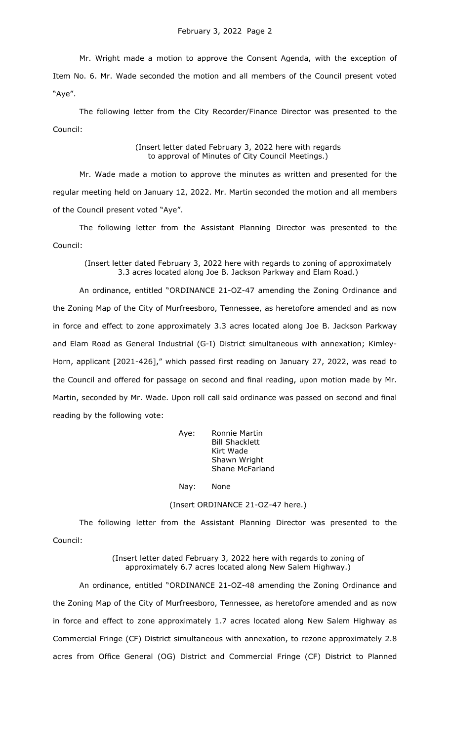Mr. Wright made a motion to approve the Consent Agenda, with the exception of Item No. 6. Mr. Wade seconded the motion and all members of the Council present voted "Aye".

The following letter from the City Recorder/Finance Director was presented to the Council:

> (Insert letter dated February 3, 2022 here with regards to approval of Minutes of City Council Meetings.)

Mr. Wade made a motion to approve the minutes as written and presented for the regular meeting held on January 12, 2022. Mr. Martin seconded the motion and all members of the Council present voted "Aye".

The following letter from the Assistant Planning Director was presented to the Council:

(Insert letter dated February 3, 2022 here with regards to zoning of approximately 3.3 acres located along Joe B. Jackson Parkway and Elam Road.)

An ordinance, entitled "ORDINANCE 21-OZ-47 amending the Zoning Ordinance and the Zoning Map of the City of Murfreesboro, Tennessee, as heretofore amended and as now in force and effect to zone approximately 3.3 acres located along Joe B. Jackson Parkway and Elam Road as General Industrial (G-I) District simultaneous with annexation; Kimley-Horn, applicant [2021-426]," which passed first reading on January 27, 2022, was read to the Council and offered for passage on second and final reading, upon motion made by Mr. Martin, seconded by Mr. Wade. Upon roll call said ordinance was passed on second and final reading by the following vote:

> Aye: Ronnie Martin Bill Shacklett Kirt Wade Shawn Wright Shane McFarland

Nay: None

(Insert ORDINANCE 21-OZ-47 here.)

The following letter from the Assistant Planning Director was presented to the Council:

> (Insert letter dated February 3, 2022 here with regards to zoning of approximately 6.7 acres located along New Salem Highway.)

An ordinance, entitled "ORDINANCE 21-OZ-48 amending the Zoning Ordinance and the Zoning Map of the City of Murfreesboro, Tennessee, as heretofore amended and as now in force and effect to zone approximately 1.7 acres located along New Salem Highway as Commercial Fringe (CF) District simultaneous with annexation, to rezone approximately 2.8 acres from Office General (OG) District and Commercial Fringe (CF) District to Planned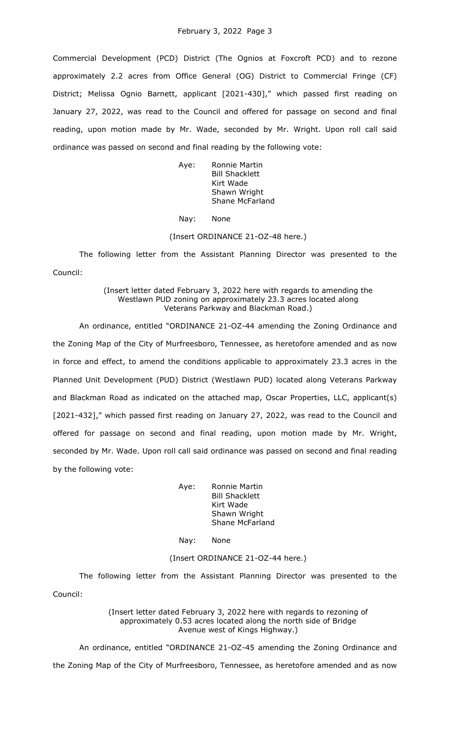Commercial Development (PCD) District (The Ognios at Foxcroft PCD) and to rezone approximately 2.2 acres from Office General (OG) District to Commercial Fringe (CF) District; Melissa Ognio Barnett, applicant [2021-430]," which passed first reading on January 27, 2022, was read to the Council and offered for passage on second and final reading, upon motion made by Mr. Wade, seconded by Mr. Wright. Upon roll call said ordinance was passed on second and final reading by the following vote:

> Aye: Ronnie Martin Bill Shacklett Kirt Wade Shawn Wright Shane McFarland

Nay: None

## (Insert ORDINANCE 21-OZ-48 here.)

The following letter from the Assistant Planning Director was presented to the Council:

# (Insert letter dated February 3, 2022 here with regards to amending the Westlawn PUD zoning on approximately 23.3 acres located along Veterans Parkway and Blackman Road.)

An ordinance, entitled "ORDINANCE 21-OZ-44 amending the Zoning Ordinance and the Zoning Map of the City of Murfreesboro, Tennessee, as heretofore amended and as now in force and effect, to amend the conditions applicable to approximately 23.3 acres in the Planned Unit Development (PUD) District (Westlawn PUD) located along Veterans Parkway and Blackman Road as indicated on the attached map, Oscar Properties, LLC, applicant(s) [2021-432]," which passed first reading on January 27, 2022, was read to the Council and offered for passage on second and final reading, upon motion made by Mr. Wright, seconded by Mr. Wade. Upon roll call said ordinance was passed on second and final reading by the following vote:

> Aye: Ronnie Martin Bill Shacklett Kirt Wade Shawn Wright Shane McFarland

## Nay: None

## (Insert ORDINANCE 21-OZ-44 here.)

The following letter from the Assistant Planning Director was presented to the Council:

> (Insert letter dated February 3, 2022 here with regards to rezoning of approximately 0.53 acres located along the north side of Bridge Avenue west of Kings Highway.)

An ordinance, entitled "ORDINANCE 21-OZ-45 amending the Zoning Ordinance and the Zoning Map of the City of Murfreesboro, Tennessee, as heretofore amended and as now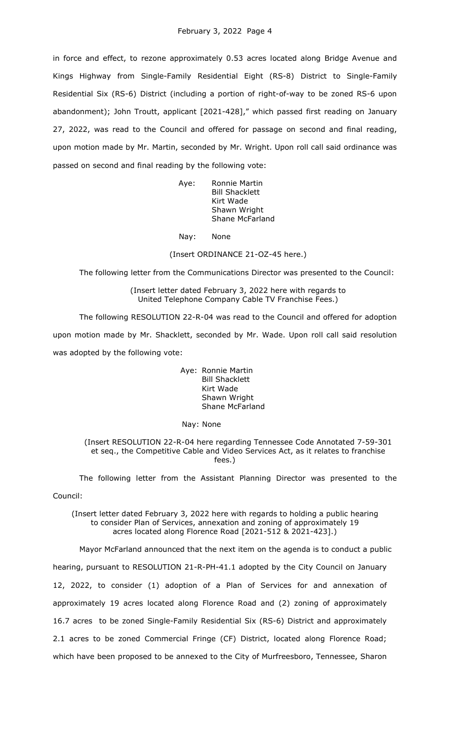in force and effect, to rezone approximately 0.53 acres located along Bridge Avenue and Kings Highway from Single-Family Residential Eight (RS-8) District to Single-Family Residential Six (RS-6) District (including a portion of right-of-way to be zoned RS-6 upon abandonment); John Troutt, applicant [2021-428]," which passed first reading on January 27, 2022, was read to the Council and offered for passage on second and final reading, upon motion made by Mr. Martin, seconded by Mr. Wright. Upon roll call said ordinance was passed on second and final reading by the following vote:

> Aye: Ronnie Martin Bill Shacklett Kirt Wade Shawn Wright Shane McFarland

Nay: None

(Insert ORDINANCE 21-OZ-45 here.)

The following letter from the Communications Director was presented to the Council:

(Insert letter dated February 3, 2022 here with regards to United Telephone Company Cable TV Franchise Fees.)

The following RESOLUTION 22-R-04 was read to the Council and offered for adoption upon motion made by Mr. Shacklett, seconded by Mr. Wade. Upon roll call said resolution was adopted by the following vote:

> Aye: Ronnie Martin Bill Shacklett Kirt Wade Shawn Wright Shane McFarland

Nay: None

(Insert RESOLUTION 22-R-04 here regarding Tennessee Code Annotated 7-59-301 et seq., the Competitive Cable and Video Services Act, as it relates to franchise fees.)

The following letter from the Assistant Planning Director was presented to the Council:

(Insert letter dated February 3, 2022 here with regards to holding a public hearing to consider Plan of Services, annexation and zoning of approximately 19 acres located along Florence Road [2021-512 & 2021-423].)

Mayor McFarland announced that the next item on the agenda is to conduct a public hearing, pursuant to RESOLUTION 21-R-PH-41.1 adopted by the City Council on January 12, 2022, to consider (1) adoption of a Plan of Services for and annexation of approximately 19 acres located along Florence Road and (2) zoning of approximately 16.7 acres to be zoned Single-Family Residential Six (RS-6) District and approximately 2.1 acres to be zoned Commercial Fringe (CF) District, located along Florence Road; which have been proposed to be annexed to the City of Murfreesboro, Tennessee, Sharon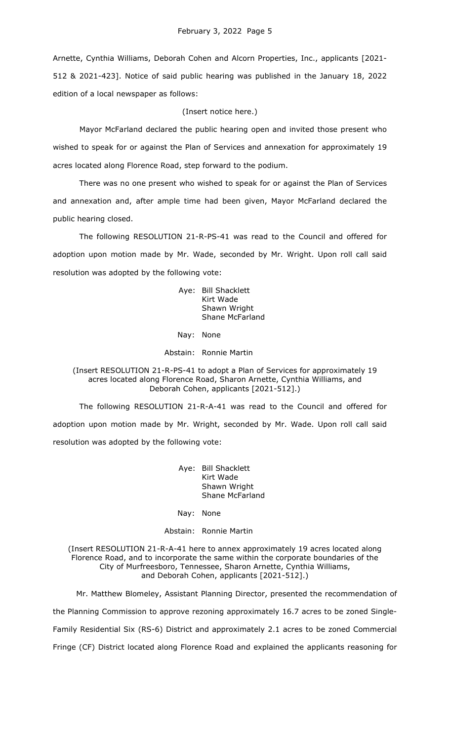Arnette, Cynthia Williams, Deborah Cohen and Alcorn Properties, Inc., applicants [2021- 512 & 2021-423]. Notice of said public hearing was published in the January 18, 2022 edition of a local newspaper as follows:

(Insert notice here.)

Mayor McFarland declared the public hearing open and invited those present who wished to speak for or against the Plan of Services and annexation for approximately 19 acres located along Florence Road, step forward to the podium.

There was no one present who wished to speak for or against the Plan of Services and annexation and, after ample time had been given, Mayor McFarland declared the public hearing closed.

The following RESOLUTION 21-R-PS-41 was read to the Council and offered for adoption upon motion made by Mr. Wade, seconded by Mr. Wright. Upon roll call said resolution was adopted by the following vote:

> Aye: Bill Shacklett Kirt Wade Shawn Wright Shane McFarland

Nay: None

Abstain: Ronnie Martin

(Insert RESOLUTION 21-R-PS-41 to adopt a Plan of Services for approximately 19 acres located along Florence Road, Sharon Arnette, Cynthia Williams, and Deborah Cohen, applicants [2021-512].)

The following RESOLUTION 21-R-A-41 was read to the Council and offered for adoption upon motion made by Mr. Wright, seconded by Mr. Wade. Upon roll call said resolution was adopted by the following vote:

> Aye: Bill Shacklett Kirt Wade Shawn Wright Shane McFarland

Nay: None

Abstain: Ronnie Martin

(Insert RESOLUTION 21-R-A-41 here to annex approximately 19 acres located along Florence Road, and to incorporate the same within the corporate boundaries of the City of Murfreesboro, Tennessee, Sharon Arnette, Cynthia Williams, and Deborah Cohen, applicants [2021-512].)

Mr. Matthew Blomeley, Assistant Planning Director, presented the recommendation of the Planning Commission to approve rezoning approximately 16.7 acres to be zoned Single-Family Residential Six (RS-6) District and approximately 2.1 acres to be zoned Commercial Fringe (CF) District located along Florence Road and explained the applicants reasoning for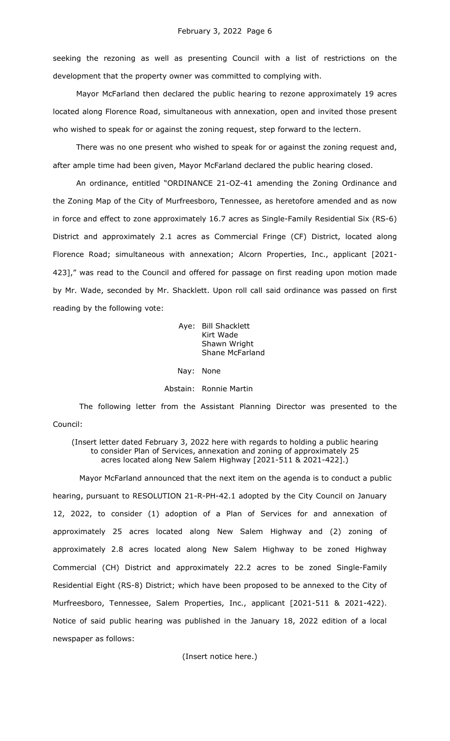seeking the rezoning as well as presenting Council with a list of restrictions on the development that the property owner was committed to complying with.

Mayor McFarland then declared the public hearing to rezone approximately 19 acres located along Florence Road, simultaneous with annexation, open and invited those present who wished to speak for or against the zoning request, step forward to the lectern.

There was no one present who wished to speak for or against the zoning request and, after ample time had been given, Mayor McFarland declared the public hearing closed.

An ordinance, entitled "ORDINANCE 21-OZ-41 amending the Zoning Ordinance and the Zoning Map of the City of Murfreesboro, Tennessee, as heretofore amended and as now in force and effect to zone approximately 16.7 acres as Single-Family Residential Six (RS-6) District and approximately 2.1 acres as Commercial Fringe (CF) District, located along Florence Road; simultaneous with annexation; Alcorn Properties, Inc., applicant [2021- 423]," was read to the Council and offered for passage on first reading upon motion made by Mr. Wade, seconded by Mr. Shacklett. Upon roll call said ordinance was passed on first reading by the following vote:

> Aye: Bill Shacklett Kirt Wade Shawn Wright Shane McFarland

Nay: None

Abstain: Ronnie Martin

The following letter from the Assistant Planning Director was presented to the Council:

(Insert letter dated February 3, 2022 here with regards to holding a public hearing to consider Plan of Services, annexation and zoning of approximately 25 acres located along New Salem Highway [2021-511 & 2021-422].)

Mayor McFarland announced that the next item on the agenda is to conduct a public hearing, pursuant to RESOLUTION 21-R-PH-42.1 adopted by the City Council on January 12, 2022, to consider (1) adoption of a Plan of Services for and annexation of approximately 25 acres located along New Salem Highway and (2) zoning of approximately 2.8 acres located along New Salem Highway to be zoned Highway Commercial (CH) District and approximately 22.2 acres to be zoned Single-Family Residential Eight (RS-8) District; which have been proposed to be annexed to the City of Murfreesboro, Tennessee, Salem Properties, Inc., applicant [2021-511 & 2021-422). Notice of said public hearing was published in the January 18, 2022 edition of a local newspaper as follows:

(Insert notice here.)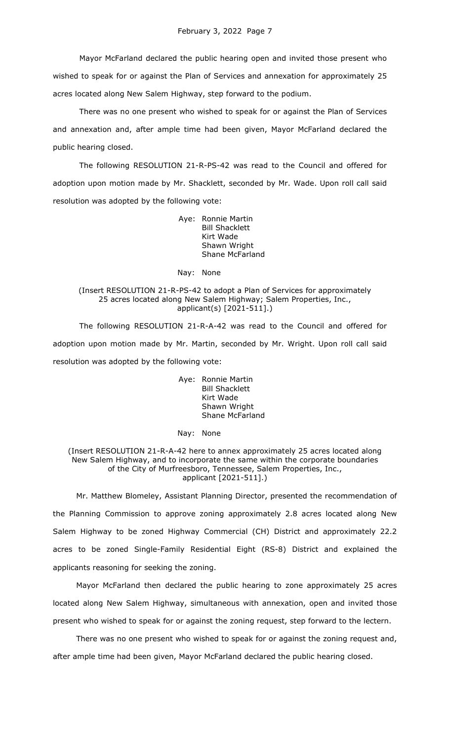Mayor McFarland declared the public hearing open and invited those present who wished to speak for or against the Plan of Services and annexation for approximately 25 acres located along New Salem Highway, step forward to the podium.

There was no one present who wished to speak for or against the Plan of Services and annexation and, after ample time had been given, Mayor McFarland declared the public hearing closed.

The following RESOLUTION 21-R-PS-42 was read to the Council and offered for adoption upon motion made by Mr. Shacklett, seconded by Mr. Wade. Upon roll call said resolution was adopted by the following vote:

> Aye: Ronnie Martin Bill Shacklett Kirt Wade Shawn Wright Shane McFarland

#### Nay: None

## (Insert RESOLUTION 21-R-PS-42 to adopt a Plan of Services for approximately 25 acres located along New Salem Highway; Salem Properties, Inc., applicant(s) [2021-511].)

The following RESOLUTION 21-R-A-42 was read to the Council and offered for adoption upon motion made by Mr. Martin, seconded by Mr. Wright. Upon roll call said resolution was adopted by the following vote:

> Aye: Ronnie Martin Bill Shacklett Kirt Wade Shawn Wright Shane McFarland

#### Nay: None

## (Insert RESOLUTION 21-R-A-42 here to annex approximately 25 acres located along New Salem Highway, and to incorporate the same within the corporate boundaries of the City of Murfreesboro, Tennessee, Salem Properties, Inc., applicant [2021-511].)

Mr. Matthew Blomeley, Assistant Planning Director, presented the recommendation of the Planning Commission to approve zoning approximately 2.8 acres located along New Salem Highway to be zoned Highway Commercial (CH) District and approximately 22.2 acres to be zoned Single-Family Residential Eight (RS-8) District and explained the applicants reasoning for seeking the zoning.

Mayor McFarland then declared the public hearing to zone approximately 25 acres located along New Salem Highway, simultaneous with annexation, open and invited those present who wished to speak for or against the zoning request, step forward to the lectern.

There was no one present who wished to speak for or against the zoning request and, after ample time had been given, Mayor McFarland declared the public hearing closed.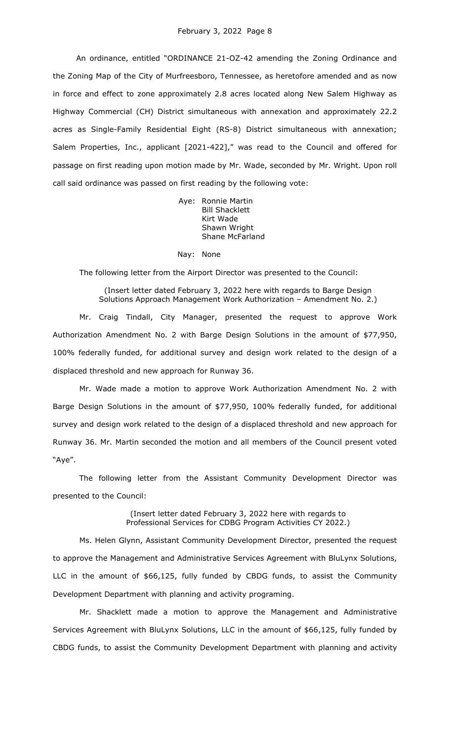An ordinance, entitled "ORDINANCE 21-OZ-42 amending the Zoning Ordinance and the Zoning Map of the City of Murfreesboro, Tennessee, as heretofore amended and as now in force and effect to zone approximately 2.8 acres located along New Salem Highway as Highway Commercial (CH) District simultaneous with annexation and approximately 22.2 acres as Single-Family Residential Eight (RS-8) District simultaneous with annexation; Salem Properties, Inc., applicant [2021-422]," was read to the Council and offered for passage on first reading upon motion made by Mr. Wade, seconded by Mr. Wright. Upon roll call said ordinance was passed on first reading by the following vote:

> Aye: Ronnie Martin Bill Shacklett Kirt Wade Shawn Wright Shane McFarland

### Nay: None

The following letter from the Airport Director was presented to the Council:

(Insert letter dated February 3, 2022 here with regards to Barge Design Solutions Approach Management Work Authorization – Amendment No. 2.)

Mr. Craig Tindall, City Manager, presented the request to approve Work Authorization Amendment No. 2 with Barge Design Solutions in the amount of \$77,950, 100% federally funded, for additional survey and design work related to the design of a displaced threshold and new approach for Runway 36.

Mr. Wade made a motion to approve Work Authorization Amendment No. 2 with Barge Design Solutions in the amount of \$77,950, 100% federally funded, for additional survey and design work related to the design of a displaced threshold and new approach for Runway 36. Mr. Martin seconded the motion and all members of the Council present voted "Aye".

The following letter from the Assistant Community Development Director was presented to the Council:

> (Insert letter dated February 3, 2022 here with regards to Professional Services for CDBG Program Activities CY 2022.)

Ms. Helen Glynn, Assistant Community Development Director, presented the request to approve the Management and Administrative Services Agreement with BluLynx Solutions, LLC in the amount of \$66,125, fully funded by CBDG funds, to assist the Community Development Department with planning and activity programing.

Mr. Shacklett made a motion to approve the Management and Administrative Services Agreement with BluLynx Solutions, LLC in the amount of \$66,125, fully funded by CBDG funds, to assist the Community Development Department with planning and activity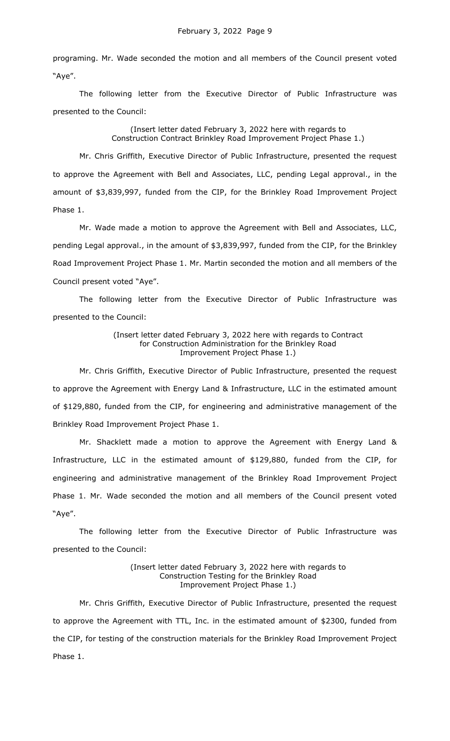programing. Mr. Wade seconded the motion and all members of the Council present voted "Aye".

The following letter from the Executive Director of Public Infrastructure was presented to the Council:

> (Insert letter dated February 3, 2022 here with regards to Construction Contract Brinkley Road Improvement Project Phase 1.)

Mr. Chris Griffith, Executive Director of Public Infrastructure, presented the request to approve the Agreement with Bell and Associates, LLC, pending Legal approval., in the amount of \$3,839,997, funded from the CIP, for the Brinkley Road Improvement Project Phase 1.

Mr. Wade made a motion to approve the Agreement with Bell and Associates, LLC, pending Legal approval., in the amount of \$3,839,997, funded from the CIP, for the Brinkley Road Improvement Project Phase 1. Mr. Martin seconded the motion and all members of the Council present voted "Aye".

The following letter from the Executive Director of Public Infrastructure was presented to the Council:

> (Insert letter dated February 3, 2022 here with regards to Contract for Construction Administration for the Brinkley Road Improvement Project Phase 1.)

Mr. Chris Griffith, Executive Director of Public Infrastructure, presented the request to approve the Agreement with Energy Land & Infrastructure, LLC in the estimated amount of \$129,880, funded from the CIP, for engineering and administrative management of the Brinkley Road Improvement Project Phase 1.

Mr. Shacklett made a motion to approve the Agreement with Energy Land & Infrastructure, LLC in the estimated amount of \$129,880, funded from the CIP, for engineering and administrative management of the Brinkley Road Improvement Project Phase 1. Mr. Wade seconded the motion and all members of the Council present voted "Aye".

The following letter from the Executive Director of Public Infrastructure was presented to the Council:

> (Insert letter dated February 3, 2022 here with regards to Construction Testing for the Brinkley Road Improvement Project Phase 1.)

Mr. Chris Griffith, Executive Director of Public Infrastructure, presented the request to approve the Agreement with TTL, Inc. in the estimated amount of \$2300, funded from the CIP, for testing of the construction materials for the Brinkley Road Improvement Project Phase 1.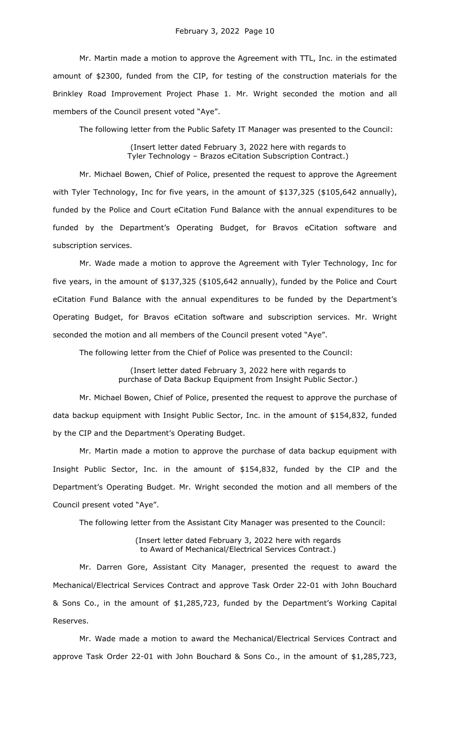Mr. Martin made a motion to approve the Agreement with TTL, Inc. in the estimated amount of \$2300, funded from the CIP, for testing of the construction materials for the Brinkley Road Improvement Project Phase 1. Mr. Wright seconded the motion and all members of the Council present voted "Aye".

The following letter from the Public Safety IT Manager was presented to the Council:

(Insert letter dated February 3, 2022 here with regards to Tyler Technology – Brazos eCitation Subscription Contract.)

Mr. Michael Bowen, Chief of Police, presented the request to approve the Agreement with Tyler Technology, Inc for five years, in the amount of \$137,325 (\$105,642 annually), funded by the Police and Court eCitation Fund Balance with the annual expenditures to be funded by the Department's Operating Budget, for Bravos eCitation software and subscription services.

Mr. Wade made a motion to approve the Agreement with Tyler Technology, Inc for five years, in the amount of \$137,325 (\$105,642 annually), funded by the Police and Court eCitation Fund Balance with the annual expenditures to be funded by the Department's Operating Budget, for Bravos eCitation software and subscription services. Mr. Wright seconded the motion and all members of the Council present voted "Aye".

The following letter from the Chief of Police was presented to the Council:

(Insert letter dated February 3, 2022 here with regards to purchase of Data Backup Equipment from Insight Public Sector.)

Mr. Michael Bowen, Chief of Police, presented the request to approve the purchase of data backup equipment with Insight Public Sector, Inc. in the amount of \$154,832, funded by the CIP and the Department's Operating Budget.

Mr. Martin made a motion to approve the purchase of data backup equipment with Insight Public Sector, Inc. in the amount of \$154,832, funded by the CIP and the Department's Operating Budget. Mr. Wright seconded the motion and all members of the Council present voted "Aye".

The following letter from the Assistant City Manager was presented to the Council:

(Insert letter dated February 3, 2022 here with regards to Award of Mechanical/Electrical Services Contract.)

Mr. Darren Gore, Assistant City Manager, presented the request to award the Mechanical/Electrical Services Contract and approve Task Order 22-01 with John Bouchard & Sons Co., in the amount of \$1,285,723, funded by the Department's Working Capital Reserves.

Mr. Wade made a motion to award the Mechanical/Electrical Services Contract and approve Task Order 22-01 with John Bouchard & Sons Co., in the amount of \$1,285,723,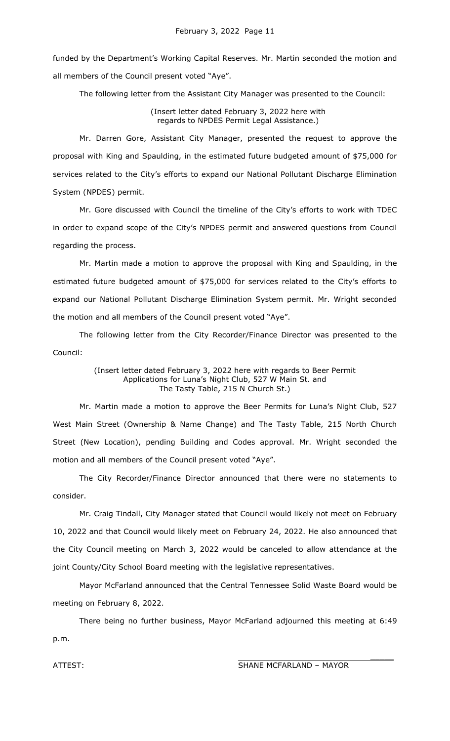funded by the Department's Working Capital Reserves. Mr. Martin seconded the motion and all members of the Council present voted "Aye".

The following letter from the Assistant City Manager was presented to the Council:

(Insert letter dated February 3, 2022 here with regards to NPDES Permit Legal Assistance.)

Mr. Darren Gore, Assistant City Manager, presented the request to approve the proposal with King and Spaulding, in the estimated future budgeted amount of \$75,000 for services related to the City's efforts to expand our National Pollutant Discharge Elimination System (NPDES) permit.

Mr. Gore discussed with Council the timeline of the City's efforts to work with TDEC in order to expand scope of the City's NPDES permit and answered questions from Council regarding the process.

Mr. Martin made a motion to approve the proposal with King and Spaulding, in the estimated future budgeted amount of \$75,000 for services related to the City's efforts to expand our National Pollutant Discharge Elimination System permit. Mr. Wright seconded the motion and all members of the Council present voted "Aye".

The following letter from the City Recorder/Finance Director was presented to the Council:

> (Insert letter dated February 3, 2022 here with regards to Beer Permit Applications for Luna's Night Club, 527 W Main St. and The Tasty Table, 215 N Church St.)

Mr. Martin made a motion to approve the Beer Permits for Luna's Night Club, 527 West Main Street (Ownership & Name Change) and The Tasty Table, 215 North Church Street (New Location), pending Building and Codes approval. Mr. Wright seconded the motion and all members of the Council present voted "Aye".

The City Recorder/Finance Director announced that there were no statements to consider.

Mr. Craig Tindall, City Manager stated that Council would likely not meet on February 10, 2022 and that Council would likely meet on February 24, 2022. He also announced that the City Council meeting on March 3, 2022 would be canceled to allow attendance at the joint County/City School Board meeting with the legislative representatives.

Mayor McFarland announced that the Central Tennessee Solid Waste Board would be meeting on February 8, 2022.

There being no further business, Mayor McFarland adjourned this meeting at 6:49 p.m.

ATTEST: SHANE MCFARLAND – MAYOR

 $\mathcal{L}$